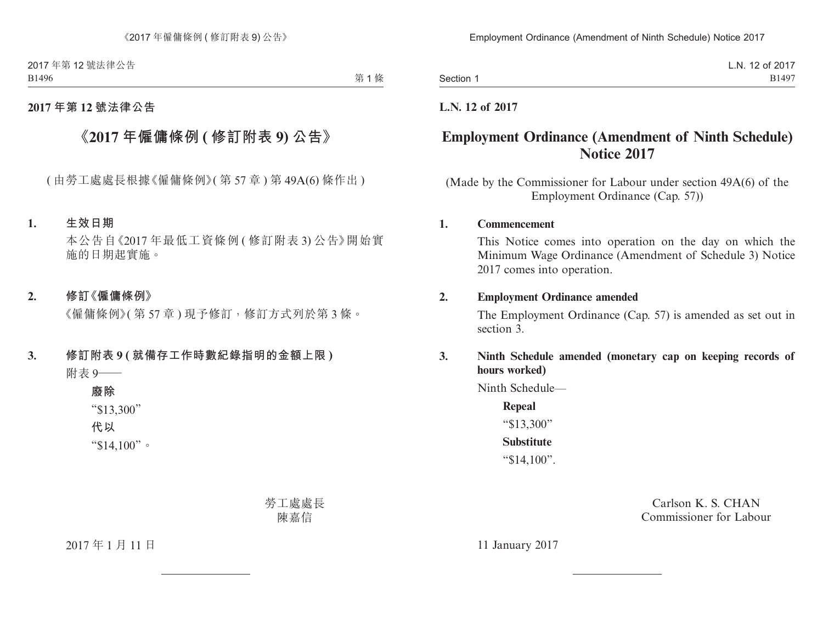2017 年第 12 號法律公告 B1496

第1條

### **2017 年第 12 號法律公告**

# **《2017 年僱傭條例 ( 修訂附表 9) 公告》**

( 由勞工處處長根據《僱傭條例》( 第 57 章 ) 第 49A(6) 條作出 )

#### **1. 生效日期**

本公告自《2017 年最低工資條例 ( 修訂附表 3) 公告》開始實 施的日期起實施。

#### **2. 修訂《僱傭條例》**

《僱傭條例》( 第 57 章 ) 現予修訂,修訂方式列於第 3 條。

## **3. 修訂附表 9 ( 就備存工作時數紀錄指明的金額上限 )** 附表 9——

**廢除** "\$13,300" **代以** "\$14,100"。

> 勞工處處長 陳嘉信

2017 年 1 月 11 日